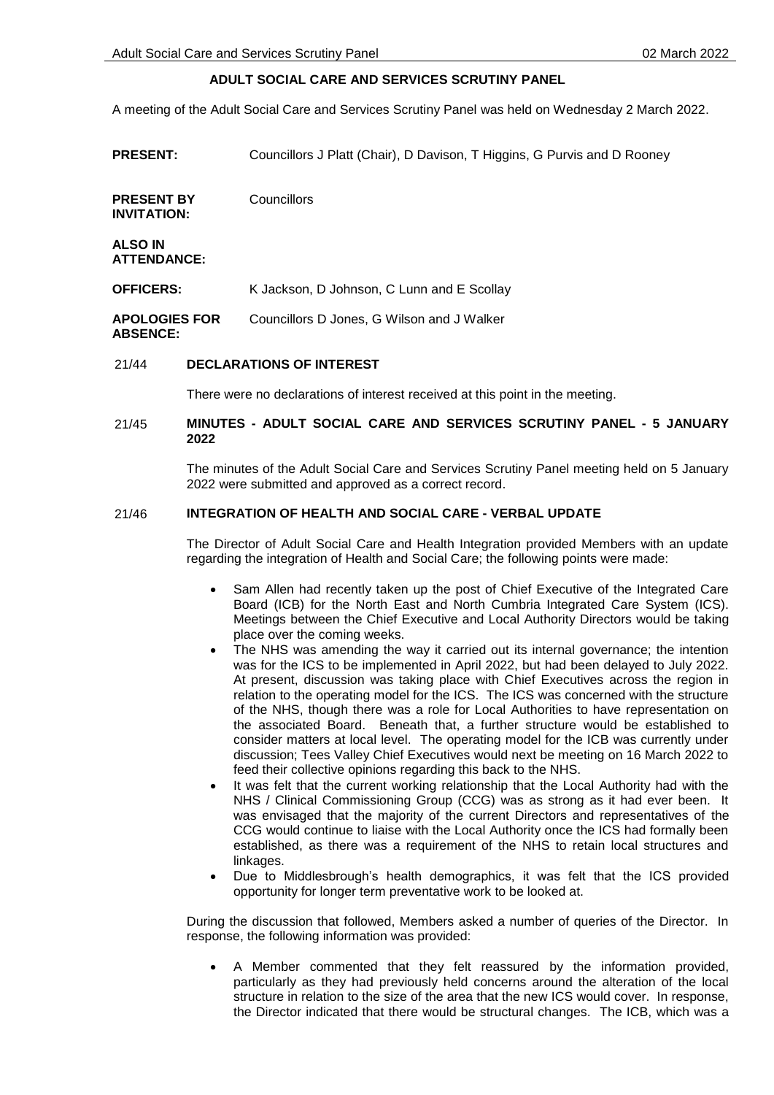# **ADULT SOCIAL CARE AND SERVICES SCRUTINY PANEL**

A meeting of the Adult Social Care and Services Scrutiny Panel was held on Wednesday 2 March 2022.

**PRESENT:** Councillors J Platt (Chair), D Davison, T Higgins, G Purvis and D Rooney

**PRESENT BY INVITATION: Councillors** 

**ALSO IN ATTENDANCE:**

**OFFICERS:** K Jackson, D Johnson, C Lunn and E Scollay

**APOLOGIES FOR ABSENCE:** Councillors D Jones, G Wilson and J Walker

### 21/44 **DECLARATIONS OF INTEREST**

There were no declarations of interest received at this point in the meeting.

#### 21/45 **MINUTES - ADULT SOCIAL CARE AND SERVICES SCRUTINY PANEL - 5 JANUARY 2022**

The minutes of the Adult Social Care and Services Scrutiny Panel meeting held on 5 January 2022 were submitted and approved as a correct record.

#### 21/46 **INTEGRATION OF HEALTH AND SOCIAL CARE - VERBAL UPDATE**

The Director of Adult Social Care and Health Integration provided Members with an update regarding the integration of Health and Social Care; the following points were made:

- Sam Allen had recently taken up the post of Chief Executive of the Integrated Care Board (ICB) for the North East and North Cumbria Integrated Care System (ICS). Meetings between the Chief Executive and Local Authority Directors would be taking place over the coming weeks.
- The NHS was amending the way it carried out its internal governance; the intention was for the ICS to be implemented in April 2022, but had been delayed to July 2022. At present, discussion was taking place with Chief Executives across the region in relation to the operating model for the ICS. The ICS was concerned with the structure of the NHS, though there was a role for Local Authorities to have representation on the associated Board. Beneath that, a further structure would be established to consider matters at local level. The operating model for the ICB was currently under discussion; Tees Valley Chief Executives would next be meeting on 16 March 2022 to feed their collective opinions regarding this back to the NHS.
- It was felt that the current working relationship that the Local Authority had with the NHS / Clinical Commissioning Group (CCG) was as strong as it had ever been. It was envisaged that the majority of the current Directors and representatives of the CCG would continue to liaise with the Local Authority once the ICS had formally been established, as there was a requirement of the NHS to retain local structures and linkages.
- Due to Middlesbrough's health demographics, it was felt that the ICS provided opportunity for longer term preventative work to be looked at.

During the discussion that followed, Members asked a number of queries of the Director. In response, the following information was provided:

 A Member commented that they felt reassured by the information provided, particularly as they had previously held concerns around the alteration of the local structure in relation to the size of the area that the new ICS would cover. In response, the Director indicated that there would be structural changes. The ICB, which was a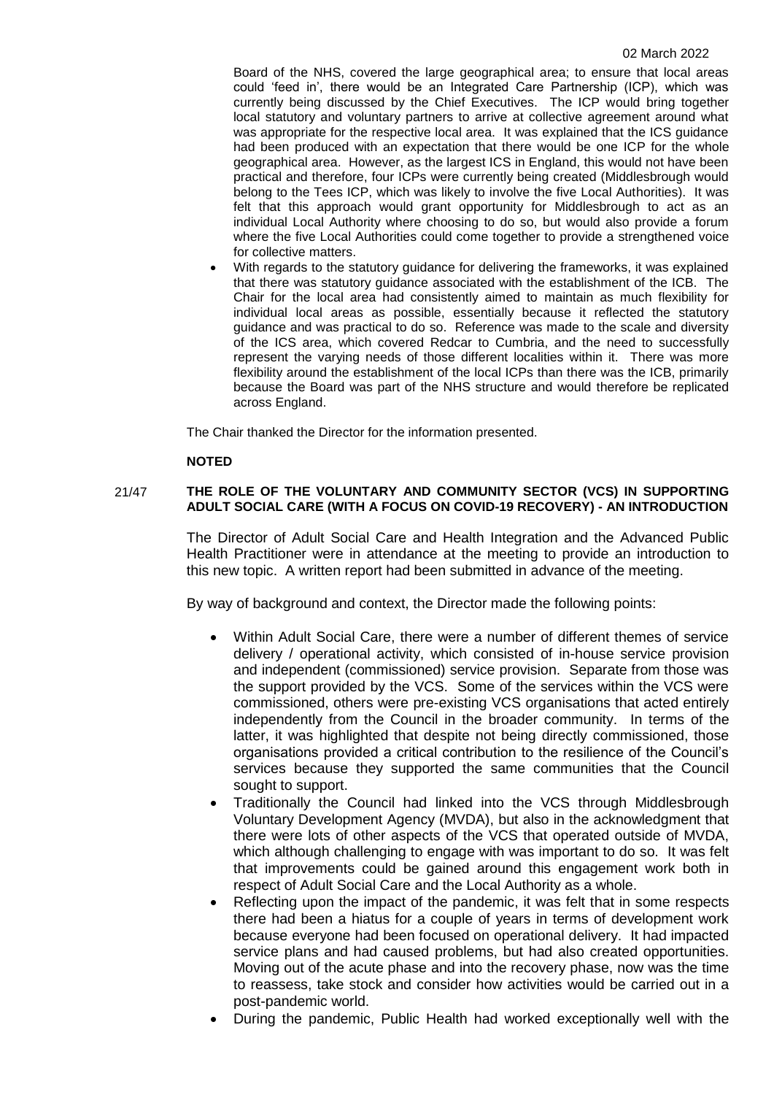Board of the NHS, covered the large geographical area; to ensure that local areas could 'feed in', there would be an Integrated Care Partnership (ICP), which was currently being discussed by the Chief Executives. The ICP would bring together local statutory and voluntary partners to arrive at collective agreement around what was appropriate for the respective local area. It was explained that the ICS guidance had been produced with an expectation that there would be one ICP for the whole geographical area. However, as the largest ICS in England, this would not have been practical and therefore, four ICPs were currently being created (Middlesbrough would belong to the Tees ICP, which was likely to involve the five Local Authorities). It was felt that this approach would grant opportunity for Middlesbrough to act as an individual Local Authority where choosing to do so, but would also provide a forum where the five Local Authorities could come together to provide a strengthened voice for collective matters.

 With regards to the statutory guidance for delivering the frameworks, it was explained that there was statutory guidance associated with the establishment of the ICB. The Chair for the local area had consistently aimed to maintain as much flexibility for individual local areas as possible, essentially because it reflected the statutory guidance and was practical to do so. Reference was made to the scale and diversity of the ICS area, which covered Redcar to Cumbria, and the need to successfully represent the varying needs of those different localities within it. There was more flexibility around the establishment of the local ICPs than there was the ICB, primarily because the Board was part of the NHS structure and would therefore be replicated across England.

The Chair thanked the Director for the information presented.

# **NOTED**

# 21/47 **THE ROLE OF THE VOLUNTARY AND COMMUNITY SECTOR (VCS) IN SUPPORTING ADULT SOCIAL CARE (WITH A FOCUS ON COVID-19 RECOVERY) - AN INTRODUCTION**

The Director of Adult Social Care and Health Integration and the Advanced Public Health Practitioner were in attendance at the meeting to provide an introduction to this new topic. A written report had been submitted in advance of the meeting.

By way of background and context, the Director made the following points:

- Within Adult Social Care, there were a number of different themes of service delivery / operational activity, which consisted of in-house service provision and independent (commissioned) service provision. Separate from those was the support provided by the VCS. Some of the services within the VCS were commissioned, others were pre-existing VCS organisations that acted entirely independently from the Council in the broader community. In terms of the latter, it was highlighted that despite not being directly commissioned, those organisations provided a critical contribution to the resilience of the Council's services because they supported the same communities that the Council sought to support.
- Traditionally the Council had linked into the VCS through Middlesbrough Voluntary Development Agency (MVDA), but also in the acknowledgment that there were lots of other aspects of the VCS that operated outside of MVDA, which although challenging to engage with was important to do so. It was felt that improvements could be gained around this engagement work both in respect of Adult Social Care and the Local Authority as a whole.
- Reflecting upon the impact of the pandemic, it was felt that in some respects there had been a hiatus for a couple of years in terms of development work because everyone had been focused on operational delivery. It had impacted service plans and had caused problems, but had also created opportunities. Moving out of the acute phase and into the recovery phase, now was the time to reassess, take stock and consider how activities would be carried out in a post-pandemic world.
- During the pandemic, Public Health had worked exceptionally well with the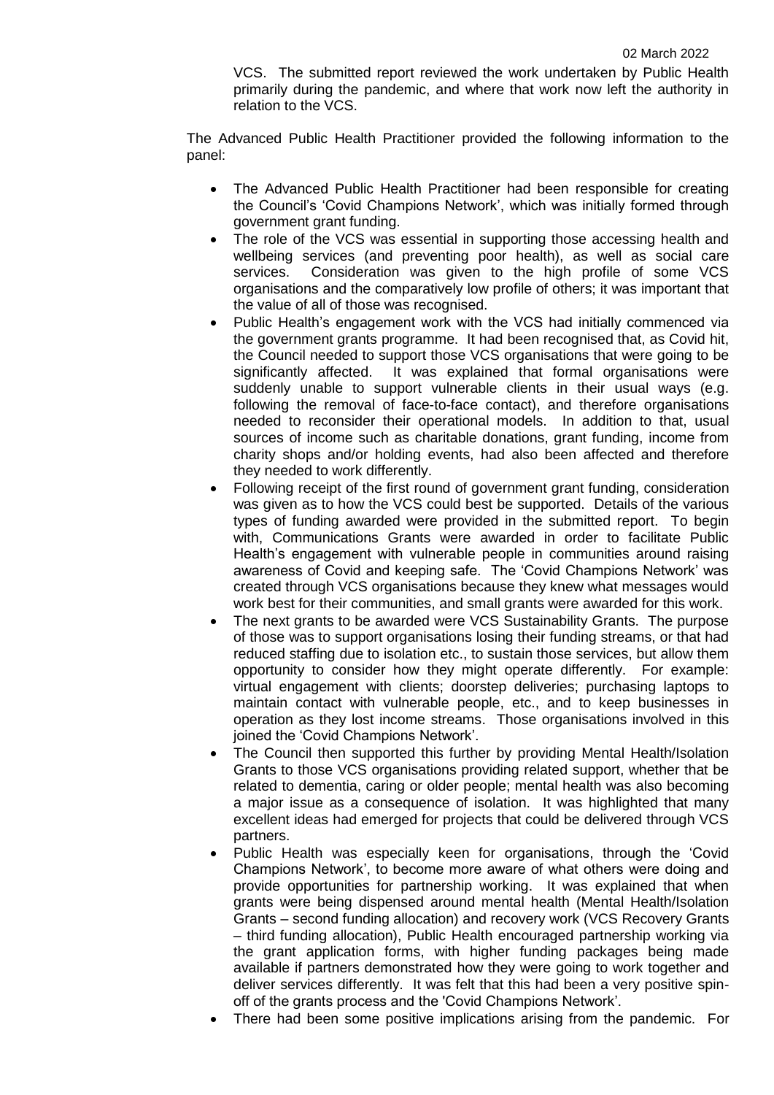VCS. The submitted report reviewed the work undertaken by Public Health primarily during the pandemic, and where that work now left the authority in relation to the VCS.

The Advanced Public Health Practitioner provided the following information to the panel:

- The Advanced Public Health Practitioner had been responsible for creating the Council's 'Covid Champions Network', which was initially formed through government grant funding.
- The role of the VCS was essential in supporting those accessing health and wellbeing services (and preventing poor health), as well as social care services. Consideration was given to the high profile of some VCS organisations and the comparatively low profile of others; it was important that the value of all of those was recognised.
- Public Health's engagement work with the VCS had initially commenced via the government grants programme. It had been recognised that, as Covid hit, the Council needed to support those VCS organisations that were going to be significantly affected. It was explained that formal organisations were suddenly unable to support vulnerable clients in their usual ways (e.g. following the removal of face-to-face contact), and therefore organisations needed to reconsider their operational models. In addition to that, usual sources of income such as charitable donations, grant funding, income from charity shops and/or holding events, had also been affected and therefore they needed to work differently.
- Following receipt of the first round of government grant funding, consideration was given as to how the VCS could best be supported. Details of the various types of funding awarded were provided in the submitted report. To begin with, Communications Grants were awarded in order to facilitate Public Health's engagement with vulnerable people in communities around raising awareness of Covid and keeping safe. The 'Covid Champions Network' was created through VCS organisations because they knew what messages would work best for their communities, and small grants were awarded for this work.
- The next grants to be awarded were VCS Sustainability Grants. The purpose of those was to support organisations losing their funding streams, or that had reduced staffing due to isolation etc., to sustain those services, but allow them opportunity to consider how they might operate differently. For example: virtual engagement with clients; doorstep deliveries; purchasing laptops to maintain contact with vulnerable people, etc., and to keep businesses in operation as they lost income streams. Those organisations involved in this joined the 'Covid Champions Network'.
- The Council then supported this further by providing Mental Health/Isolation Grants to those VCS organisations providing related support, whether that be related to dementia, caring or older people; mental health was also becoming a major issue as a consequence of isolation. It was highlighted that many excellent ideas had emerged for projects that could be delivered through VCS partners.
- Public Health was especially keen for organisations, through the 'Covid Champions Network', to become more aware of what others were doing and provide opportunities for partnership working. It was explained that when grants were being dispensed around mental health (Mental Health/Isolation Grants – second funding allocation) and recovery work (VCS Recovery Grants – third funding allocation), Public Health encouraged partnership working via the grant application forms, with higher funding packages being made available if partners demonstrated how they were going to work together and deliver services differently. It was felt that this had been a very positive spinoff of the grants process and the 'Covid Champions Network'.
- There had been some positive implications arising from the pandemic. For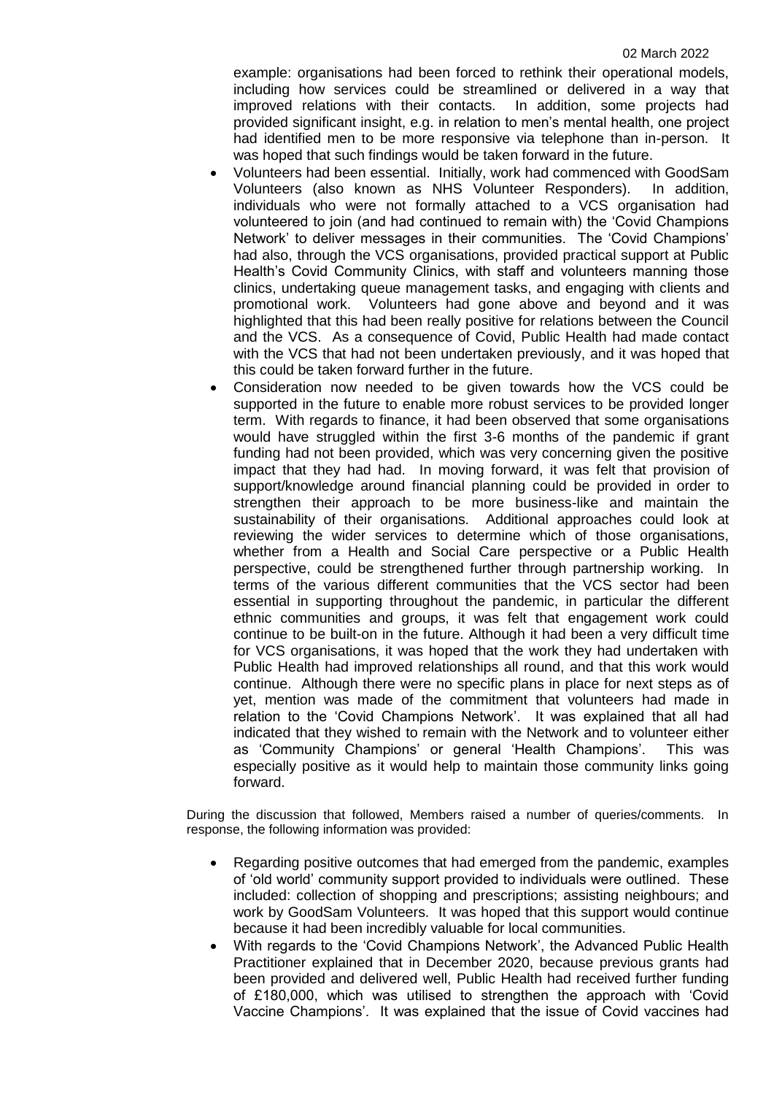example: organisations had been forced to rethink their operational models, including how services could be streamlined or delivered in a way that improved relations with their contacts. In addition, some projects had provided significant insight, e.g. in relation to men's mental health, one project had identified men to be more responsive via telephone than in-person. It was hoped that such findings would be taken forward in the future.

- Volunteers had been essential. Initially, work had commenced with GoodSam Volunteers (also known as NHS Volunteer Responders). In addition, individuals who were not formally attached to a VCS organisation had volunteered to join (and had continued to remain with) the 'Covid Champions Network' to deliver messages in their communities. The 'Covid Champions' had also, through the VCS organisations, provided practical support at Public Health's Covid Community Clinics, with staff and volunteers manning those clinics, undertaking queue management tasks, and engaging with clients and promotional work. Volunteers had gone above and beyond and it was highlighted that this had been really positive for relations between the Council and the VCS. As a consequence of Covid, Public Health had made contact with the VCS that had not been undertaken previously, and it was hoped that this could be taken forward further in the future.
- Consideration now needed to be given towards how the VCS could be supported in the future to enable more robust services to be provided longer term. With regards to finance, it had been observed that some organisations would have struggled within the first 3-6 months of the pandemic if grant funding had not been provided, which was very concerning given the positive impact that they had had. In moving forward, it was felt that provision of support/knowledge around financial planning could be provided in order to strengthen their approach to be more business-like and maintain the sustainability of their organisations. Additional approaches could look at reviewing the wider services to determine which of those organisations, whether from a Health and Social Care perspective or a Public Health perspective, could be strengthened further through partnership working. In terms of the various different communities that the VCS sector had been essential in supporting throughout the pandemic, in particular the different ethnic communities and groups, it was felt that engagement work could continue to be built-on in the future. Although it had been a very difficult time for VCS organisations, it was hoped that the work they had undertaken with Public Health had improved relationships all round, and that this work would continue. Although there were no specific plans in place for next steps as of yet, mention was made of the commitment that volunteers had made in relation to the 'Covid Champions Network'. It was explained that all had indicated that they wished to remain with the Network and to volunteer either as 'Community Champions' or general 'Health Champions'. This was especially positive as it would help to maintain those community links going forward.

During the discussion that followed, Members raised a number of queries/comments. In response, the following information was provided:

- Regarding positive outcomes that had emerged from the pandemic, examples of 'old world' community support provided to individuals were outlined. These included: collection of shopping and prescriptions; assisting neighbours; and work by GoodSam Volunteers. It was hoped that this support would continue because it had been incredibly valuable for local communities.
- With regards to the 'Covid Champions Network', the Advanced Public Health Practitioner explained that in December 2020, because previous grants had been provided and delivered well, Public Health had received further funding of £180,000, which was utilised to strengthen the approach with 'Covid Vaccine Champions'. It was explained that the issue of Covid vaccines had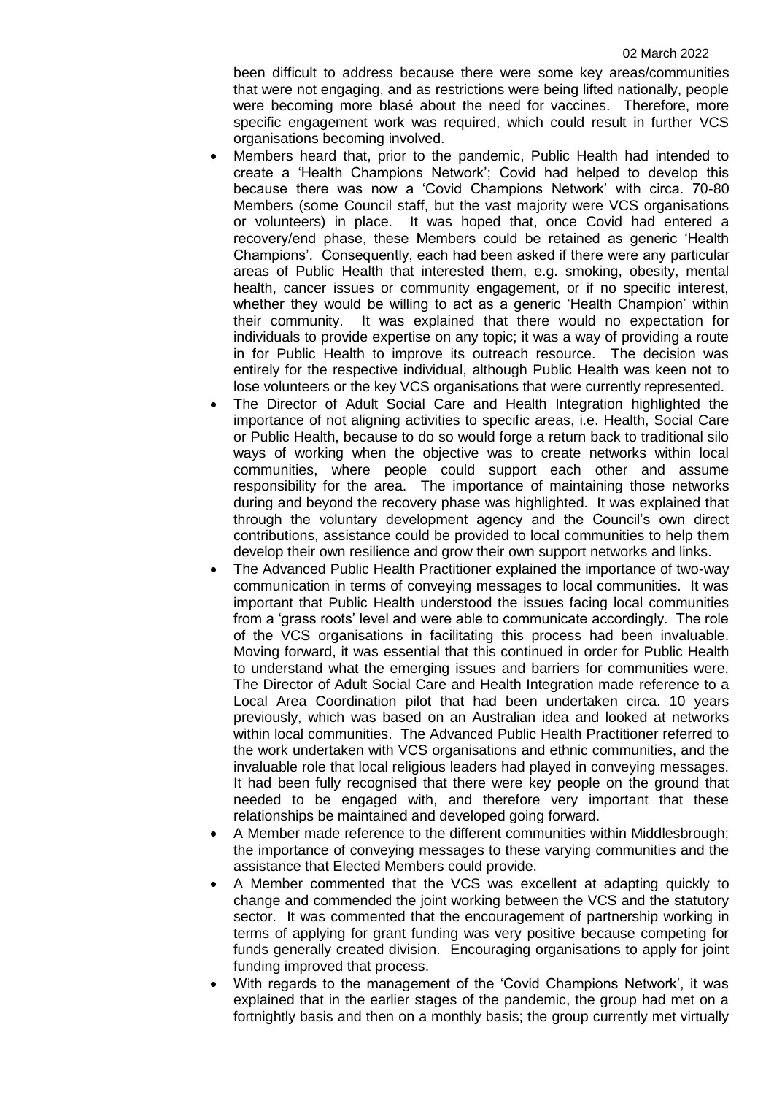been difficult to address because there were some key areas/communities that were not engaging, and as restrictions were being lifted nationally, people were becoming more blasé about the need for vaccines. Therefore, more specific engagement work was required, which could result in further VCS organisations becoming involved.

- Members heard that, prior to the pandemic, Public Health had intended to create a 'Health Champions Network'; Covid had helped to develop this because there was now a 'Covid Champions Network' with circa. 70-80 Members (some Council staff, but the vast majority were VCS organisations or volunteers) in place. It was hoped that, once Covid had entered a recovery/end phase, these Members could be retained as generic 'Health Champions'. Consequently, each had been asked if there were any particular areas of Public Health that interested them, e.g. smoking, obesity, mental health, cancer issues or community engagement, or if no specific interest, whether they would be willing to act as a generic 'Health Champion' within their community. It was explained that there would no expectation for individuals to provide expertise on any topic; it was a way of providing a route in for Public Health to improve its outreach resource. The decision was entirely for the respective individual, although Public Health was keen not to lose volunteers or the key VCS organisations that were currently represented.
- The Director of Adult Social Care and Health Integration highlighted the importance of not aligning activities to specific areas, i.e. Health, Social Care or Public Health, because to do so would forge a return back to traditional silo ways of working when the objective was to create networks within local communities, where people could support each other and assume responsibility for the area. The importance of maintaining those networks during and beyond the recovery phase was highlighted. It was explained that through the voluntary development agency and the Council's own direct contributions, assistance could be provided to local communities to help them develop their own resilience and grow their own support networks and links.
- The Advanced Public Health Practitioner explained the importance of two-way communication in terms of conveying messages to local communities. It was important that Public Health understood the issues facing local communities from a 'grass roots' level and were able to communicate accordingly. The role of the VCS organisations in facilitating this process had been invaluable. Moving forward, it was essential that this continued in order for Public Health to understand what the emerging issues and barriers for communities were. The Director of Adult Social Care and Health Integration made reference to a Local Area Coordination pilot that had been undertaken circa. 10 years previously, which was based on an Australian idea and looked at networks within local communities. The Advanced Public Health Practitioner referred to the work undertaken with VCS organisations and ethnic communities, and the invaluable role that local religious leaders had played in conveying messages. It had been fully recognised that there were key people on the ground that needed to be engaged with, and therefore very important that these relationships be maintained and developed going forward.
- A Member made reference to the different communities within Middlesbrough; the importance of conveying messages to these varying communities and the assistance that Elected Members could provide.
- A Member commented that the VCS was excellent at adapting quickly to change and commended the joint working between the VCS and the statutory sector. It was commented that the encouragement of partnership working in terms of applying for grant funding was very positive because competing for funds generally created division. Encouraging organisations to apply for joint funding improved that process.
- With regards to the management of the 'Covid Champions Network', it was explained that in the earlier stages of the pandemic, the group had met on a fortnightly basis and then on a monthly basis; the group currently met virtually